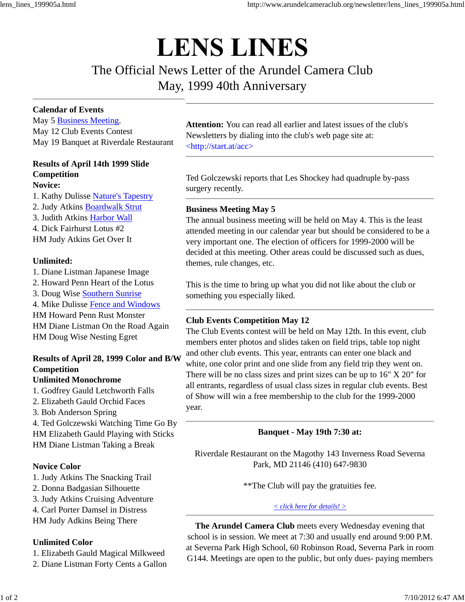# **LENS LINES**

# The Official News Letter of the Arundel Camera Club May, 1999 40th Anniversary

### **Calendar of Events**

May 5 Business Meeting. May 12 Club Events Contest May 19 Banquet at Riverdale Restaurant

#### **Results of April 14th 1999 Slide Competition Novice:**

1. Kathy Dulisse Nature's Tapestry 2. Judy Atkins Boardwalk Strut 3. Judith Atkins Harbor Wall 4. Dick Fairhurst Lotus #2 HM Judy Atkins Get Over It

### **Unlimited:**

1. Diane Listman Japanese Image 2. Howard Penn Heart of the Lotus 3. Doug Wise Southern Sunrise 4. Mike Dulisse Fence and Windows HM Howard Penn Rust Monster HM Diane Listman On the Road Again HM Doug Wise Nesting Egret

## **Results of April 28, 1999 Color and B/W Competition**

### **Unlimited Monochrome**

1. Godfrey Gauld Letchworth Falls 2. Elizabeth Gauld Orchid Faces 3. Bob Anderson Spring 4. Ted Golczewski Watching Time Go By HM Elizabeth Gauld Playing with Sticks HM Diane Listman Taking a Break

### **Novice Color**

1. Judy Atkins The Snacking Trail

- 2. Donna Badgasian Silhouette
- 3. Judy Atkins Cruising Adventure
- 4. Carl Porter Damsel in Distress
- HM Judy Adkins Being There

#### **Unlimited Color**

1. Elizabeth Gauld Magical Milkweed

2. Diane Listman Forty Cents a Gallon

**Attention:** You can read all earlier and latest issues of the club's Newsletters by dialing into the club's web page site at: <http://start.at/acc>

Ted Golczewski reports that Les Shockey had quadruple by-pass surgery recently.

### **Business Meeting May 5**

The annual business meeting will be held on May 4. This is the least attended meeting in our calendar year but should be considered to be a very important one. The election of officers for 1999-2000 will be decided at this meeting. Other areas could be discussed such as dues, themes, rule changes, etc.

This is the time to bring up what you did not like about the club or something you especially liked.

### **Club Events Competition May 12**

The Club Events contest will be held on May 12th. In this event, club members enter photos and slides taken on field trips, table top night and other club events. This year, entrants can enter one black and white, one color print and one slide from any field trip they went on. There will be no class sizes and print sizes can be up to 16" X 20" for all entrants, regardless of usual class sizes in regular club events. Best of Show will win a free membership to the club for the 1999-2000 year.

### **Banquet - May 19th 7:30 at:**

Riverdale Restaurant on the Magothy 143 Inverness Road Severna Park, MD 21146 (410) 647-9830

\*\*The Club will pay the gratuities fee.

#### *< click here for details! >*

**The Arundel Camera Club** meets every Wednesday evening that school is in session. We meet at 7:30 and usually end around 9:00 P.M. at Severna Park High School, 60 Robinson Road, Severna Park in room G144. Meetings are open to the public, but only dues- paying members